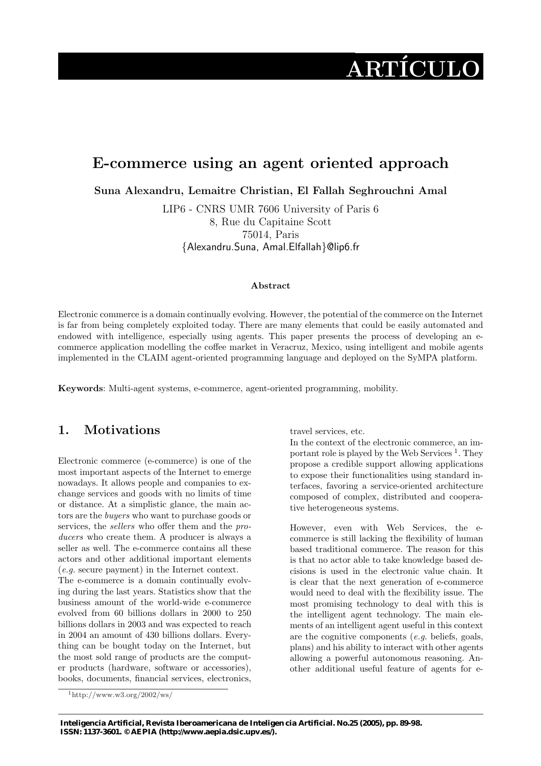# ARTÍCULO

# E-commerce using an agent oriented approach

IAAA AAAAAAA

Suna Alexandru, Lemaitre Christian, El Fallah Seghrouchni Amal

LIP6 - CNRS UMR 7606 University of Paris 6 8, Rue du Capitaine Scott 75014, Paris {Alexandru.Suna, Amal.Elfallah}@lip6.fr

#### Abstract

Electronic commerce is a domain continually evolving. However, the potential of the commerce on the Internet is far from being completely exploited today. There are many elements that could be easily automated and endowed with intelligence, especially using agents. This paper presents the process of developing an ecommerce application modelling the coffee market in Veracruz, Mexico, using intelligent and mobile agents implemented in the CLAIM agent-oriented programming language and deployed on the SyMPA platform.

Keywords: Multi-agent systems, e-commerce, agent-oriented programming, mobility.

# 1. Motivations

AAAAAAA

Electronic commerce (e-commerce) is one of the most important aspects of the Internet to emerge nowadays. It allows people and companies to exchange services and goods with no limits of time or distance. At a simplistic glance, the main actors are the buyers who want to purchase goods or services, the *sellers* who offer them and the *pro*ducers who create them. A producer is always a seller as well. The e-commerce contains all these actors and other additional important elements (e.g. secure payment) in the Internet context.

The e-commerce is a domain continually evolving during the last years. Statistics show that the business amount of the world-wide e-commerce evolved from 60 billions dollars in 2000 to 250 billions dollars in 2003 and was expected to reach in 2004 an amount of 430 billions dollars. Everything can be bought today on the Internet, but the most sold range of products are the computer products (hardware, software or accessories), books, documents, financial services, electronics,

travel services, etc.

In the context of the electronic commerce, an important role is played by the Web Services<sup>1</sup>. They propose a credible support allowing applications to expose their functionalities using standard interfaces, favoring a service-oriented architecture composed of complex, distributed and cooperative heterogeneous systems.

However, even with Web Services, the ecommerce is still lacking the flexibility of human based traditional commerce. The reason for this is that no actor able to take knowledge based decisions is used in the electronic value chain. It is clear that the next generation of e-commerce would need to deal with the flexibility issue. The most promising technology to deal with this is the intelligent agent technology. The main elements of an intelligent agent useful in this context are the cognitive components (e.g. beliefs, goals, plans) and his ability to interact with other agents allowing a powerful autonomous reasoning. Another additional useful feature of agents for e-

 $1$ http://www.w3.org/2002/ws/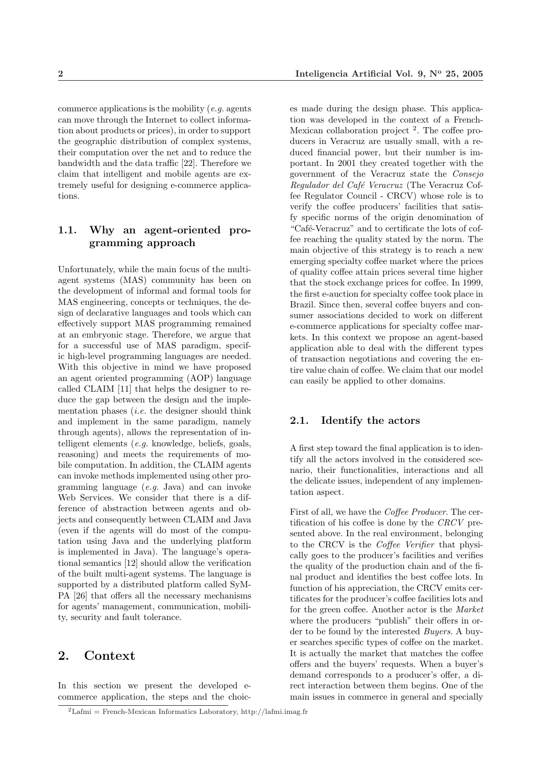commerce applications is the mobility  $(e.g., a$ can move through the Internet to collect information about products or prices), in order to support the geographic distribution of complex systems, their computation over the net and to reduce the bandwidth and the data traffic [22]. Therefore we claim that intelligent and mobile agents are extremely useful for designing e-commerce applications.

### 1.1. Why an agent-oriented programming approach

Unfortunately, while the main focus of the multiagent systems (MAS) community has been on the development of informal and formal tools for MAS engineering, concepts or techniques, the design of declarative languages and tools which can effectively support MAS programming remained at an embryonic stage. Therefore, we argue that for a successful use of MAS paradigm, specific high-level programming languages are needed. With this objective in mind we have proposed an agent oriented programming (AOP) language called CLAIM [11] that helps the designer to reduce the gap between the design and the implementation phases *(i.e.* the designer should think and implement in the same paradigm, namely through agents), allows the representation of intelligent elements (e.g. knowledge, beliefs, goals, reasoning) and meets the requirements of mobile computation. In addition, the CLAIM agents can invoke methods implemented using other programming language (e.g. Java) and can invoke Web Services. We consider that there is a difference of abstraction between agents and objects and consequently between CLAIM and Java (even if the agents will do most of the computation using Java and the underlying platform is implemented in Java). The language's operational semantics [12] should allow the verification of the built multi-agent systems. The language is supported by a distributed platform called SyM-PA [26] that offers all the necessary mechanisms for agents' management, communication, mobility, security and fault tolerance.

# 2. Context

In this section we present the developed ecommerce application, the steps and the choic-

es made during the design phase. This application was developed in the context of a French-Mexican collaboration project<sup>2</sup>. The coffee producers in Veracruz are usually small, with a reduced financial power, but their number is important. In 2001 they created together with the government of the Veracruz state the Consejo Regulador del Café Veracruz (The Veracruz Coffee Regulator Council - CRCV) whose role is to verify the coffee producers' facilities that satisfy specific norms of the origin denomination of "Café-Veracruz" and to certificate the lots of coffee reaching the quality stated by the norm. The main objective of this strategy is to reach a new emerging specialty coffee market where the prices of quality coffee attain prices several time higher that the stock exchange prices for coffee. In 1999, the first e-auction for specialty coffee took place in Brazil. Since then, several coffee buyers and consumer associations decided to work on different e-commerce applications for specialty coffee markets. In this context we propose an agent-based application able to deal with the different types of transaction negotiations and covering the entire value chain of coffee. We claim that our model can easily be applied to other domains.

#### 2.1. Identify the actors

A first step toward the final application is to identify all the actors involved in the considered scenario, their functionalities, interactions and all the delicate issues, independent of any implementation aspect.

First of all, we have the Coffee Producer. The certification of his coffee is done by the CRCV presented above. In the real environment, belonging to the CRCV is the Coffee Verifier that physically goes to the producer's facilities and verifies the quality of the production chain and of the final product and identifies the best coffee lots. In function of his appreciation, the CRCV emits certificates for the producer's coffee facilities lots and for the green coffee. Another actor is the Market where the producers "publish" their offers in order to be found by the interested Buyers. A buyer searches specific types of coffee on the market. It is actually the market that matches the coffee offers and the buyers' requests. When a buyer's demand corresponds to a producer's offer, a direct interaction between them begins. One of the main issues in commerce in general and specially

 ${}^{2}$ Lafmi = French-Mexican Informatics Laboratory, http://lafmi.imag.fr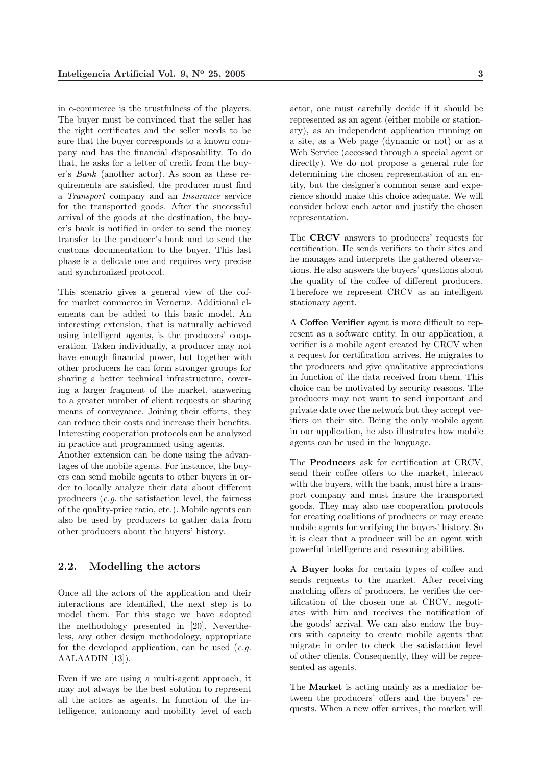in e-commerce is the trustfulness of the players. The buyer must be convinced that the seller has the right certificates and the seller needs to be sure that the buyer corresponds to a known company and has the financial disposability. To do that, he asks for a letter of credit from the buyer's Bank (another actor). As soon as these requirements are satisfied, the producer must find a Transport company and an Insurance service for the transported goods. After the successful arrival of the goods at the destination, the buyer's bank is notified in order to send the money transfer to the producer's bank and to send the customs documentation to the buyer. This last phase is a delicate one and requires very precise and synchronized protocol.

This scenario gives a general view of the coffee market commerce in Veracruz. Additional elements can be added to this basic model. An interesting extension, that is naturally achieved using intelligent agents, is the producers' cooperation. Taken individually, a producer may not have enough financial power, but together with other producers he can form stronger groups for sharing a better technical infrastructure, covering a larger fragment of the market, answering to a greater number of client requests or sharing means of conveyance. Joining their efforts, they can reduce their costs and increase their benefits. Interesting cooperation protocols can be analyzed in practice and programmed using agents.

Another extension can be done using the advantages of the mobile agents. For instance, the buyers can send mobile agents to other buyers in order to locally analyze their data about different producers (e.g. the satisfaction level, the fairness of the quality-price ratio, etc.). Mobile agents can also be used by producers to gather data from other producers about the buyers' history.

#### 2.2. Modelling the actors

Once all the actors of the application and their interactions are identified, the next step is to model them. For this stage we have adopted the methodology presented in [20]. Nevertheless, any other design methodology, appropriate for the developed application, can be used  $(e.g.$ AALAADIN [13]).

Even if we are using a multi-agent approach, it may not always be the best solution to represent all the actors as agents. In function of the intelligence, autonomy and mobility level of each actor, one must carefully decide if it should be represented as an agent (either mobile or stationary), as an independent application running on a site, as a Web page (dynamic or not) or as a Web Service (accessed through a special agent or directly). We do not propose a general rule for determining the chosen representation of an entity, but the designer's common sense and experience should make this choice adequate. We will consider below each actor and justify the chosen representation.

The CRCV answers to producers' requests for certification. He sends verifiers to their sites and he manages and interprets the gathered observations. He also answers the buyers' questions about the quality of the coffee of different producers. Therefore we represent CRCV as an intelligent stationary agent.

A Coffee Verifier agent is more difficult to represent as a software entity. In our application, a verifier is a mobile agent created by CRCV when a request for certification arrives. He migrates to the producers and give qualitative appreciations in function of the data received from them. This choice can be motivated by security reasons. The producers may not want to send important and private date over the network but they accept verifiers on their site. Being the only mobile agent in our application, he also illustrates how mobile agents can be used in the language.

The Producers ask for certification at CRCV, send their coffee offers to the market, interact with the buyers, with the bank, must hire a transport company and must insure the transported goods. They may also use cooperation protocols for creating coalitions of producers or may create mobile agents for verifying the buyers' history. So it is clear that a producer will be an agent with powerful intelligence and reasoning abilities.

A Buyer looks for certain types of coffee and sends requests to the market. After receiving matching offers of producers, he verifies the certification of the chosen one at CRCV, negotiates with him and receives the notification of the goods' arrival. We can also endow the buyers with capacity to create mobile agents that migrate in order to check the satisfaction level of other clients. Consequently, they will be represented as agents.

The Market is acting mainly as a mediator between the producers' offers and the buyers' requests. When a new offer arrives, the market will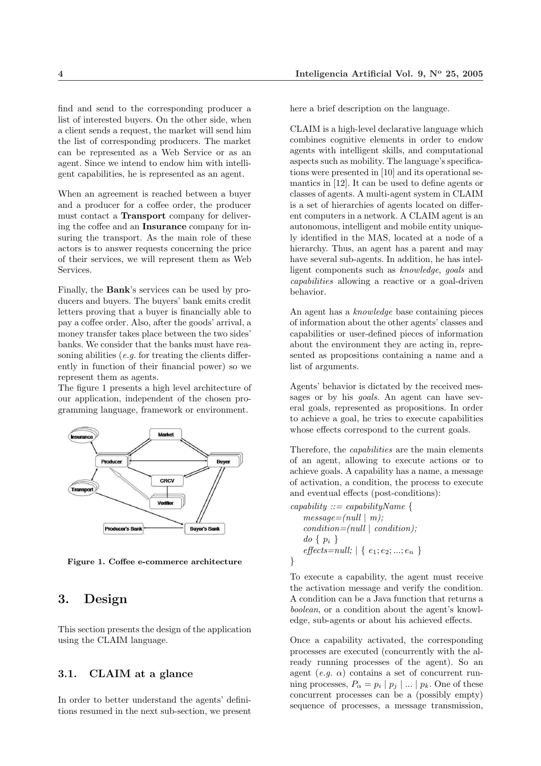find and send to the corresponding producer a list of interested buyers. On the other side, when a client sends a request, the market will send him the list of corresponding producers. The market can be represented as a Web Service or as an agent. Since we intend to endow him with intelligent capabilities, he is represented as an agent.

When an agreement is reached between a buyer and a producer for a coffee order, the producer must contact a Transport company for delivering the coffee and an Insurance company for insuring the transport. As the main role of these actors is to answer requests concerning the price of their services, we will represent them as Web Services.

Finally, the Bank's services can be used by producers and buyers. The buyers' bank emits credit letters proving that a buyer is financially able to pay a coffee order. Also, after the goods' arrival, a money transfer takes place between the two sides' banks. We consider that the banks must have reasoning abilities  $(e.g.$  for treating the clients differently in function of their financial power) so we represent them as agents.

The figure 1 presents a high level architecture of our application, independent of the chosen programming language, framework or environment.



Figure 1. Coffee e-commerce architecture

## 3. Design

This section presents the design of the application using the CLAIM language.

#### 3.1. CLAIM at a glance

In order to better understand the agents' definitions resumed in the next sub-section, we present here a brief description on the language.

CLAIM is a high-level declarative language which combines cognitive elements in order to endow agents with intelligent skills, and computational aspects such as mobility. The language's specifications were presented in [10] and its operational semantics in [12]. It can be used to define agents or classes of agents. A multi-agent system in CLAIM is a set of hierarchies of agents located on different computers in a network. A CLAIM agent is an autonomous, intelligent and mobile entity uniquely identified in the MAS, located at a node of a hierarchy. Thus, an agent has a parent and may have several sub-agents. In addition, he has intelligent components such as knowledge, goals and capabilities allowing a reactive or a goal-driven behavior.

An agent has a knowledge base containing pieces of information about the other agents' classes and capabilities or user-defined pieces of information about the environment they are acting in, represented as propositions containing a name and a list of arguments.

Agents' behavior is dictated by the received messages or by his *goals*. An agent can have several goals, represented as propositions. In order to achieve a goal, he tries to execute capabilities whose effects correspond to the current goals.

Therefore, the capabilities are the main elements of an agent, allowing to execute actions or to achieve goals. A capability has a name, a message of activation, a condition, the process to execute and eventual effects (post-conditions):

capability  $\therefore$  capability Name {  $message=[null \mid m);$  $condition=(null \mid condition);$  $do \{ p_i \}$  $\mathit{effects=null}; \ |\ \{\ e_1; e_2; ...; e_n \ \}$ }

To execute a capability, the agent must receive the activation message and verify the condition. A condition can be a Java function that returns a boolean, or a condition about the agent's knowledge, sub-agents or about his achieved effects.

Once a capability activated, the corresponding processes are executed (concurrently with the already running processes of the agent). So an agent  $(e,q, \alpha)$  contains a set of concurrent running processes,  $P_{\alpha} = p_i | p_j | ... | p_k$ . One of these concurrent processes can be a (possibly empty) sequence of processes, a message transmission,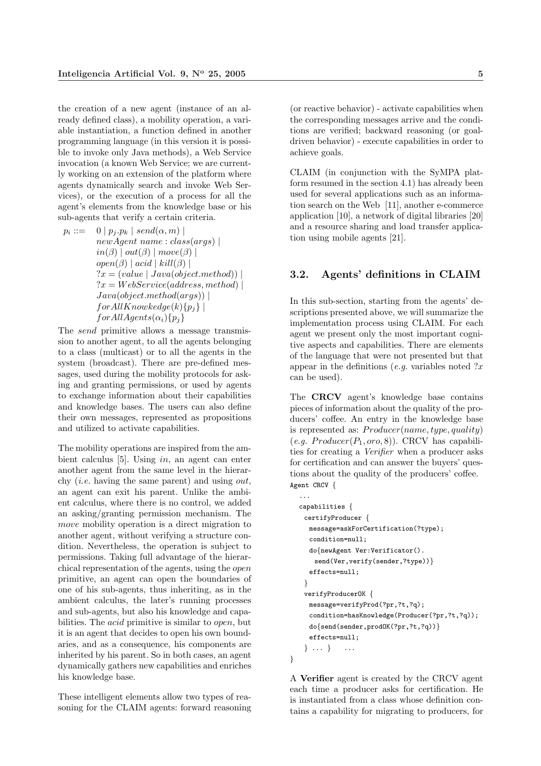the creation of a new agent (instance of an already defined class), a mobility operation, a variable instantiation, a function defined in another programming language (in this version it is possible to invoke only Java methods), a Web Service invocation (a known Web Service; we are currently working on an extension of the platform where agents dynamically search and invoke Web Services), or the execution of a process for all the agent's elements from the knowledge base or his sub-agents that verify a certain criteria.

 $p_i ::=$  $0 | p_j.p_k | send(\alpha, m) |$  $newAgent$  name:  $class(args)$  |  $in(\beta) | out(\beta) | move(\beta) |$  $open(\beta) | acid | kill(\beta) |$  $?x = (value \mid Java(object.method))$  $?x = WebService(address, method)$  $Java(object.method(args))$  $for All Knowkedge(k){p<sub>j</sub>}$  $for All Agents(\alpha_i){p_i}$ 

The send primitive allows a message transmission to another agent, to all the agents belonging to a class (multicast) or to all the agents in the system (broadcast). There are pre-defined messages, used during the mobility protocols for asking and granting permissions, or used by agents to exchange information about their capabilities and knowledge bases. The users can also define their own messages, represented as propositions and utilized to activate capabilities.

The mobility operations are inspired from the ambient calculus [5]. Using in, an agent can enter another agent from the same level in the hierarchy (*i.e.* having the same parent) and using  $out$ , an agent can exit his parent. Unlike the ambient calculus, where there is no control, we added an asking/granting permission mechanism. The move mobility operation is a direct migration to another agent, without verifying a structure condition. Nevertheless, the operation is subject to permissions. Taking full advantage of the hierarchical representation of the agents, using the open primitive, an agent can open the boundaries of one of his sub-agents, thus inheriting, as in the ambient calculus, the later's running processes and sub-agents, but also his knowledge and capabilities. The acid primitive is similar to open, but it is an agent that decides to open his own boundaries, and as a consequence, his components are inherited by his parent. So in both cases, an agent dynamically gathers new capabilities and enriches his knowledge base.

These intelligent elements allow two types of reasoning for the CLAIM agents: forward reasoning

(or reactive behavior) - activate capabilities when the corresponding messages arrive and the conditions are verified; backward reasoning (or goaldriven behavior) - execute capabilities in order to achieve goals.

CLAIM (in conjunction with the SyMPA platform resumed in the section 4.1) has already been used for several applications such as an information search on the Web [11], another e-commerce application [10], a network of digital libraries [20] and a resource sharing and load transfer application using mobile agents [21].

#### 3.2. Agents' definitions in CLAIM

In this sub-section, starting from the agents' descriptions presented above, we will summarize the implementation process using CLAIM. For each agent we present only the most important cognitive aspects and capabilities. There are elements of the language that were not presented but that appear in the definitions (e.g. variables noted  $?x$ can be used).

The CRCV agent's knowledge base contains pieces of information about the quality of the producers' coffee. An entry in the knowledge base is represented as:  $Product(name, type, quality)$  $(e.g. \; Product(P_1, oro, 8)). \; CRCV \; has \; capabilities$ ties for creating a Verifier when a producer asks for certification and can answer the buyers' questions about the quality of the producers' coffee. Agent CRCV {

```
...
capabilities {
 certifyProducer {
  message=askForCertification(?type);
  condition=null;
  do{newAgent Ver:Verificator().
    send(Ver, verify(sender, ?type)) }
  effects=null;
 }
 verifyProducerOK {
  message=verifyProd(?pr,?t,?q);
  condition=hasKnowledge(Producer(?pr,?t,?q));
  do{send(sender,prodOK(?pr,?t,?q))}
  effects=null;
 } ... } ...
```
A Verifier agent is created by the CRCV agent each time a producer asks for certification. He is instantiated from a class whose definition contains a capability for migrating to producers, for

}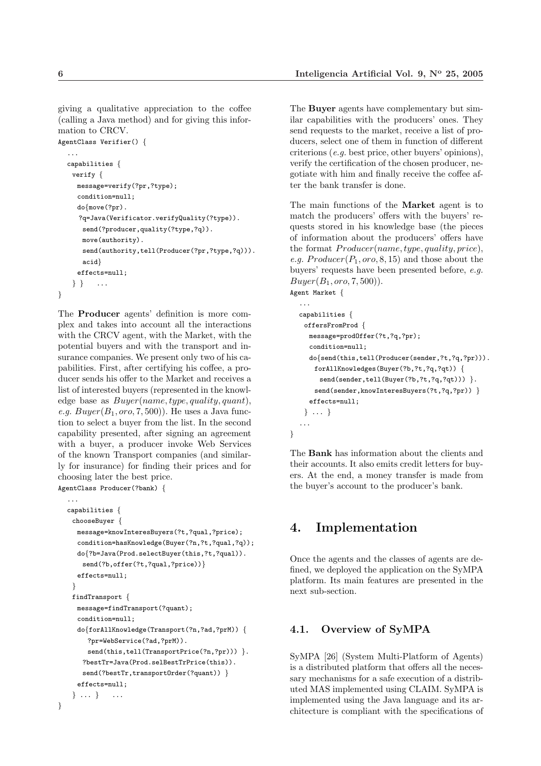giving a qualitative appreciation to the coffee (calling a Java method) and for giving this information to CRCV.

```
AgentClass Verifier() {
  ...
  capabilities {
   verify {
    message=verify(?pr,?type);
    condition=null;
    do{move(?pr).
     ?q=Java(Verificator.verifyQuality(?type)).
      send(?producer,quality(?type,?q)).
      move(authority).
      send(authority,tell(Producer(?pr,?type,?q))).
      acid}
     effects=null;
   } } ...
}
```
The Producer agents' definition is more complex and takes into account all the interactions with the CRCV agent, with the Market, with the potential buyers and with the transport and insurance companies. We present only two of his capabilities. First, after certifying his coffee, a producer sends his offer to the Market and receives a list of interested buyers (represented in the knowledge base as  $Buyer(name, type, quality, quant),$ e.g.  $Buper(B_1, oro, 7, 500))$ . He uses a Java function to select a buyer from the list. In the second capability presented, after signing an agreement with a buyer, a producer invoke Web Services of the known Transport companies (and similarly for insurance) for finding their prices and for choosing later the best price.

AgentClass Producer(?bank) {

}

```
...
capabilities {
 chooseBuyer {
  message=knowInteresBuyers(?t,?qual,?price);
  condition=hasKnowledge(Buyer(?n,?t,?qual,?q));
  do{?b=Java(Prod.selectBuyer(this,?t,?qual)).
   send(?b,offer(?t,?qual,?price))}
  effects=null;
 }
 findTransport {
  message=findTransport(?quant);
  condition=null;
  do{forAllKnowledge(Transport(?n,?ad,?prM)) {
     ?pr=WebService(?ad,?prM)).
     send(this,tell(TransportPrice(?n,?pr))) }.
   ?bestTr=Java(Prod.selBestTrPrice(this)).
   send(?bestTr,transportOrder(?quant)) }
  effects=null;
 } ... } ...
```
The **Buyer** agents have complementary but similar capabilities with the producers' ones. They send requests to the market, receive a list of producers, select one of them in function of different criterions (e.g. best price, other buyers' opinions), verify the certification of the chosen producer, negotiate with him and finally receive the coffee after the bank transfer is done.

The main functions of the Market agent is to match the producers' offers with the buyers' requests stored in his knowledge base (the pieces of information about the producers' offers have the format  $Product(name, type, quality, price),$ e.g.  $Product(P_1, oro, 8, 15)$  and those about the buyers' requests have been presented before, e.g.  $Buper(B_1, oro, 7, 500)$ . Agent Market {

```
...
capabilities {
 offersFromProd {
  message=prodOffer(?t,?q,?pr);
  condition=null;
  do{send(this,tell(Producer(sender,?t,?q,?pr))).
    forAllKnowledges(Buyer(?b,?t,?q,?qt)) {
     send(sender,tell(Buyer(?b,?t,?q,?qt))) }.
```

```
send(sender,knowInteresBuyers(?t,?q,?pr)) }
effects=null;
```
} ... } ...

}

The Bank has information about the clients and their accounts. It also emits credit letters for buyers. At the end, a money transfer is made from the buyer's account to the producer's bank.

# 4. Implementation

Once the agents and the classes of agents are defined, we deployed the application on the SyMPA platform. Its main features are presented in the next sub-section.

#### 4.1. Overview of SyMPA

SyMPA [26] (System Multi-Platform of Agents) is a distributed platform that offers all the necessary mechanisms for a safe execution of a distributed MAS implemented using CLAIM. SyMPA is implemented using the Java language and its architecture is compliant with the specifications of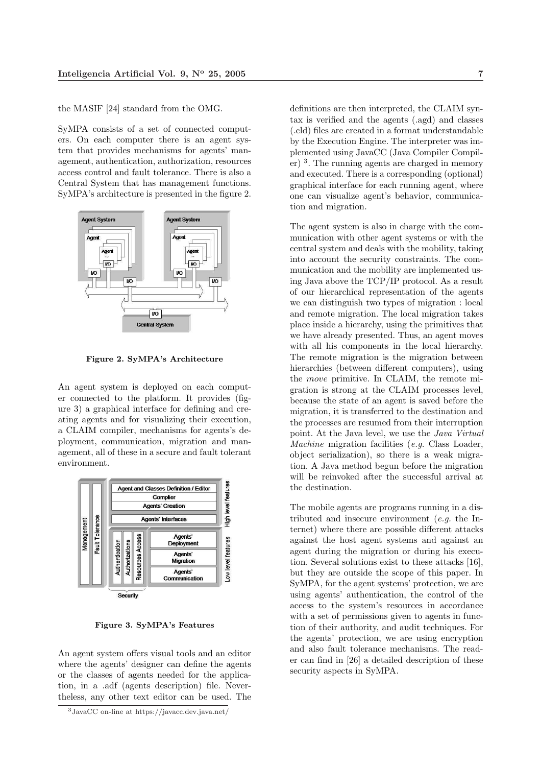the MASIF [24] standard from the OMG.

SyMPA consists of a set of connected computers. On each computer there is an agent system that provides mechanisms for agents' management, authentication, authorization, resources access control and fault tolerance. There is also a Central System that has management functions. SyMPA's architecture is presented in the figure 2.



Figure 2. SyMPA's Architecture

An agent system is deployed on each computer connected to the platform. It provides (figure 3) a graphical interface for defining and creating agents and for visualizing their execution, a CLAIM compiler, mechanisms for agents's deployment, communication, migration and management, all of these in a secure and fault tolerant environment.



Figure 3. SyMPA's Features

An agent system offers visual tools and an editor where the agents' designer can define the agents or the classes of agents needed for the application, in a .adf (agents description) file. Nevertheless, any other text editor can be used. The

definitions are then interpreted, the CLAIM syntax is verified and the agents (.agd) and classes (.cld) files are created in a format understandable by the Execution Engine. The interpreter was implemented using JavaCC (Java Compiler Compiler) <sup>3</sup> . The running agents are charged in memory and executed. There is a corresponding (optional) graphical interface for each running agent, where one can visualize agent's behavior, communication and migration.

The agent system is also in charge with the communication with other agent systems or with the central system and deals with the mobility, taking into account the security constraints. The communication and the mobility are implemented using Java above the TCP/IP protocol. As a result of our hierarchical representation of the agents we can distinguish two types of migration : local and remote migration. The local migration takes place inside a hierarchy, using the primitives that we have already presented. Thus, an agent moves with all his components in the local hierarchy. The remote migration is the migration between hierarchies (between different computers), using the move primitive. In CLAIM, the remote migration is strong at the CLAIM processes level, because the state of an agent is saved before the migration, it is transferred to the destination and the processes are resumed from their interruption point. At the Java level, we use the Java Virtual Machine migration facilities (e.g. Class Loader, object serialization), so there is a weak migration. A Java method begun before the migration will be reinvoked after the successful arrival at the destination.

The mobile agents are programs running in a distributed and insecure environment (e.g. the Internet) where there are possible different attacks against the host agent systems and against an agent during the migration or during his execution. Several solutions exist to these attacks [16], but they are outside the scope of this paper. In SyMPA, for the agent systems' protection, we are using agents' authentication, the control of the access to the system's resources in accordance with a set of permissions given to agents in function of their authority, and audit techniques. For the agents' protection, we are using encryption and also fault tolerance mechanisms. The reader can find in [26] a detailed description of these security aspects in SyMPA.

<sup>3</sup>JavaCC on-line at https://javacc.dev.java.net/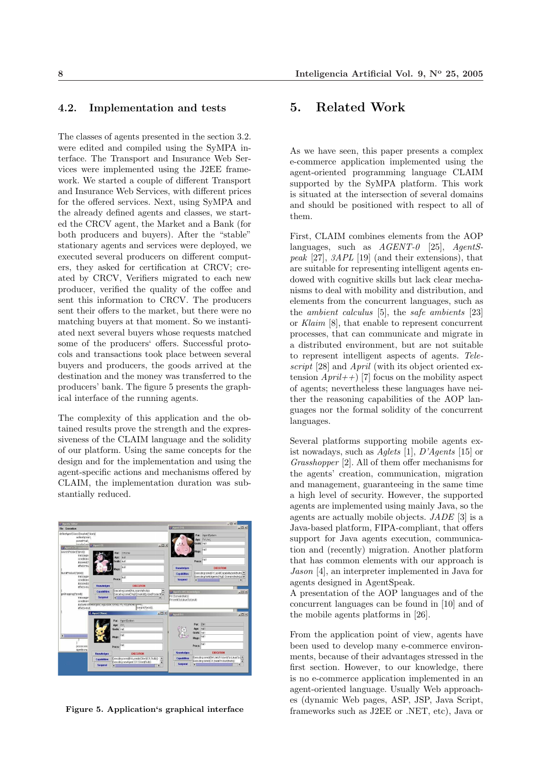#### 4.2. Implementation and tests

The classes of agents presented in the section 3.2. were edited and compiled using the SyMPA interface. The Transport and Insurance Web Services were implemented using the J2EE framework. We started a couple of different Transport and Insurance Web Services, with different prices for the offered services. Next, using SyMPA and the already defined agents and classes, we started the CRCV agent, the Market and a Bank (for both producers and buyers). After the "stable" stationary agents and services were deployed, we executed several producers on different computers, they asked for certification at CRCV; created by CRCV, Verifiers migrated to each new producer, verified the quality of the coffee and sent this information to CRCV. The producers sent their offers to the market, but there were no matching buyers at that moment. So we instantiated next several buyers whose requests matched some of the producers' offers. Successful protocols and transactions took place between several buyers and producers, the goods arrived at the destination and the money was transferred to the producers' bank. The figure 5 presents the graphical interface of the running agents.

The complexity of this application and the obtained results prove the strength and the expressiveness of the CLAIM language and the solidity of our platform. Using the same concepts for the design and for the implementation and using the agent-specific actions and mechanisms offered by CLAIM, the implementation duration was substantially reduced.



Figure 5. Application's graphical interface

#### 5. Related Work

As we have seen, this paper presents a complex e-commerce application implemented using the agent-oriented programming language CLAIM supported by the SyMPA platform. This work is situated at the intersection of several domains and should be positioned with respect to all of them.

First, CLAIM combines elements from the AOP languages, such as  $AGENT-0$  [25],  $AgentS$ peak [27], 3APL [19] (and their extensions), that are suitable for representing intelligent agents endowed with cognitive skills but lack clear mechanisms to deal with mobility and distribution, and elements from the concurrent languages, such as the ambient calculus [5], the safe ambients [23] or Klaim [8], that enable to represent concurrent processes, that can communicate and migrate in a distributed environment, but are not suitable to represent intelligent aspects of agents. Telescript [28] and April (with its object oriented extension  $April++$ ) [7] focus on the mobility aspect of agents; nevertheless these languages have neither the reasoning capabilities of the AOP languages nor the formal solidity of the concurrent languages.

Several platforms supporting mobile agents exist nowadays, such as Aglets [1],  $D'Agents$  [15] or Grasshopper [2]. All of them offer mechanisms for the agents' creation, communication, migration and management, guaranteeing in the same time a high level of security. However, the supported agents are implemented using mainly Java, so the agents are actually mobile objects. JADE [3] is a Java-based platform, FIPA-compliant, that offers support for Java agents execution, communication and (recently) migration. Another platform that has common elements with our approach is Jason [4], an interpreter implemented in Java for agents designed in AgentSpeak.

A presentation of the AOP languages and of the concurrent languages can be found in [10] and of the mobile agents platforms in [26].

From the application point of view, agents have been used to develop many e-commerce environments, because of their advantages stressed in the first section. However, to our knowledge, there is no e-commerce application implemented in an agent-oriented language. Usually Web approaches (dynamic Web pages, ASP, JSP, Java Script, frameworks such as J2EE or .NET, etc), Java or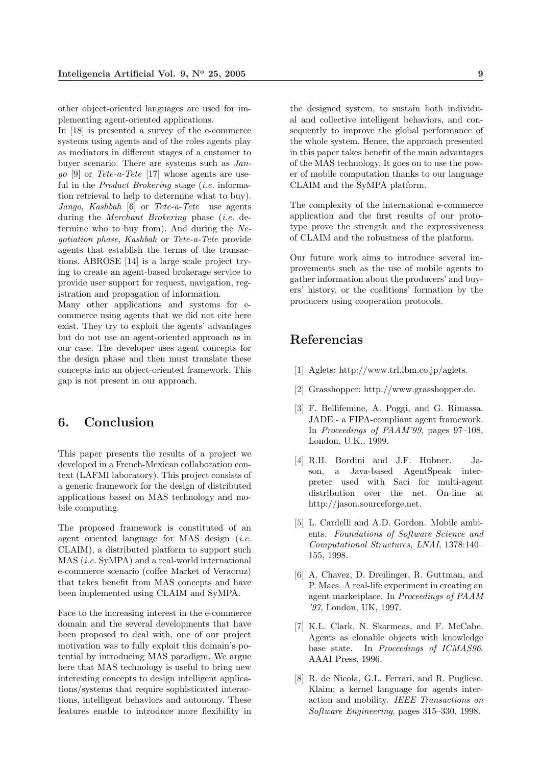other object-oriented languages are used for implementing agent-oriented applications.

In [18] is presented a survey of the e-commerce systems using agents and of the roles agents play as mediators in different stages of a customer to buyer scenario. There are systems such as Jan $go [9]$  or  $Tete-a-Tete [17]$  whose agents are useful in the *Product Brokering* stage *(i.e.* information retrieval to help to determine what to buy). Jango, Kashbah [6] or Tete-a-Tete use agents during the Merchant Brokering phase (i.e. determine who to buy from). And during the  $Ne$ gotiation phase, Kashbah or Tete-a-Tete provide agents that establish the terms of the transactions. ABROSE [14] is a large scale project trying to create an agent-based brokerage service to provide user support for request, navigation, registration and propagation of information.

Many other applications and systems for ecommerce using agents that we did not cite here exist. They try to exploit the agents' advantages but do not use an agent-oriented approach as in our case. The developer uses agent concepts for the design phase and then must translate these concepts into an object-oriented framework. This gap is not present in our approach.

# 6. Conclusion

This paper presents the results of a project we developed in a French-Mexican collaboration context (LAFMI laboratory). This project consists of a generic framework for the design of distributed applications based on MAS technology and mobile computing.

The proposed framework is constituted of an agent oriented language for MAS design (i.e. CLAIM), a distributed platform to support such MAS (i.e. SyMPA) and a real-world international e-commerce scenario (coffee Market of Veracruz) that takes benefit from MAS concepts and have been implemented using CLAIM and SyMPA.

Face to the increasing interest in the e-commerce domain and the several developments that have been proposed to deal with, one of our project motivation was to fully exploit this domain's potential by introducing MAS paradigm. We argue here that MAS technology is useful to bring new interesting concepts to design intelligent applications/systems that require sophisticated interactions, intelligent behaviors and autonomy. These features enable to introduce more flexibility in

the designed system, to sustain both individual and collective intelligent behaviors, and consequently to improve the global performance of the whole system. Hence, the approach presented in this paper takes benefit of the main advantages of the MAS technology. It goes on to use the power of mobile computation thanks to our language CLAIM and the SyMPA platform.

The complexity of the international e-commerce application and the first results of our prototype prove the strength and the expressiveness of CLAIM and the robustness of the platform.

Our future work aims to introduce several improvements such as the use of mobile agents to gather information about the producers' and buyers' history, or the coalitions' formation by the producers using cooperation protocols.

# **Referencias**

- [1] Aglets: http://www.trl.ibm.co.jp/aglets.
- [2] Grasshopper: http://www.grasshopper.de.
- [3] F. Bellifemine, A. Poggi, and G. Rimassa. JADE - a FIPA-compliant agent framework. In Proceedings of PAAM'99, pages 97–108, London, U.K., 1999.
- [4] R.H. Bordini and J.F. Hubner. Jason, a Java-based AgentSpeak interpreter used with Saci for multi-agent distribution over the net. On-line at http://jason.sourceforge.net.
- [5] L. Cardelli and A.D. Gordon. Mobile ambients. Foundations of Software Science and Computational Structures, LNAI, 1378:140– 155, 1998.
- [6] A. Chavez, D. Dreilinger, R. Guttman, and P. Maes. A real-life experiment in creating an agent marketplace. In Proceedings of PAAM '97, London, UK, 1997.
- [7] K.L. Clark, N. Skarmeas, and F. McCabe. Agents as clonable objects with knowledge base state. In Proceedings of ICMAS96. AAAI Press, 1996.
- [8] R. de Nicola, G.L. Ferrari, and R. Pugliese. Klaim: a kernel language for agents interaction and mobility. IEEE Transactions on Software Engineering, pages 315–330, 1998.